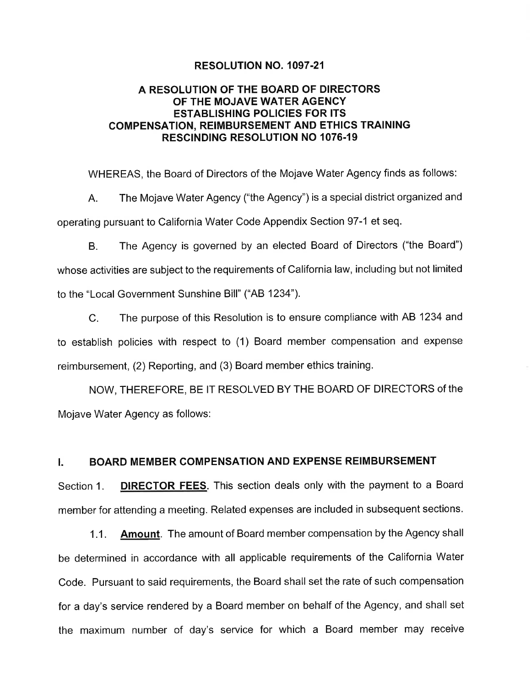### RESOLUTION NO. 1097.21

# A RESOLUTION OF THE BOARD OF DIRECTORS OF THE MOJAVE WATER AGENCY ESTABLISHING POLICIES FOR ITS COMPENSATION, REIMBURSEMENT AND ETHICS TRAINING RESCINDING RESOLUTION NO 1076.19

WHEREAS, the Board of Directors of the Mojave Water Agency finds as follows:

A. The Mojave Water Agency ("the Agency") is a special district organized and operating pursuant to California Water Code Appendix Section 97-1 et seq.

B. The Agency is governed by an elected Board of Directors ("the Board") whose activities are subject to the requirements of California law, including but not limited to the "Local Government Sunshine Bill" ("AB 1234").

C. The purpose of this Resolution is to ensure compliance with AB 1234 and to establish policies with respect to (1) Board member compensation and expense reimbursement, (2) Reporting, and (3) Board member ethics training.

NOW, THEREFORE, BE IT RESOLVED BY THE BOARD OF DIRECTORS of the Mojave Water Agency as follows:

# I. BOARD MEMBER COMPENSATION AND EXPENSE REIMBURSEMENT

Section 1. **DIRECTOR FEES.** This section deals only with the payment to a Board member for attending a meeting. Related expenses are included in subsequent sections.

1.1. Amount. The amount of Board member compensation by the Agency shall be determined in accordance with all applicable requirements of the California Water Code. Pursuant to said requirements, the Board shall set the rate of such compensation for a day's service rendered by a Board member on behalf of the Agency, and shall set the maximum number of day's service for which a Board member may receive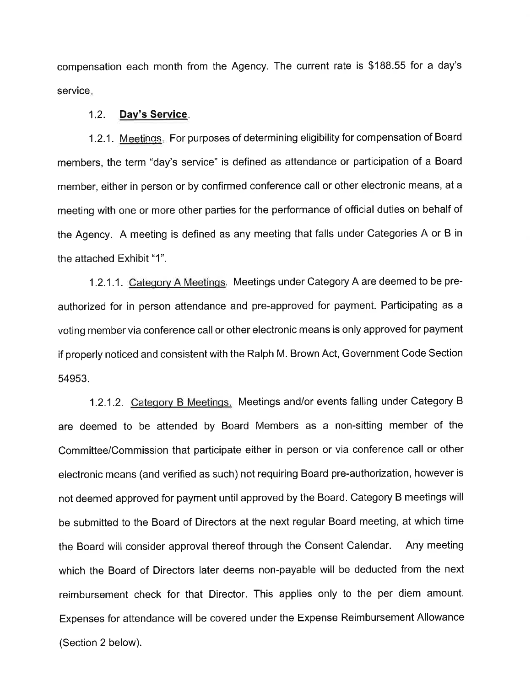compensation each month from the Agency. The current rate is \$188.55 for a day's service.

#### 1.2. Dav's Service

1.2.1. Meetings. For purposes of determining eligibility for compensation of Board members, the term "day's service" is defined as attendance or participation of a Board member, either in person or by confirmed conference call or other electronic means, at a meeting with one or more other parties for the performance of official duties on behalf of the Agency. A meeting is defined as any meeting that falls under Categories A or B in the attached Exhibit "1".

1.2.1.1. Cateqory A Meetinqs. Meetings under Category A are deemed to be preauthorized for in person attendance and pre-approved for payment. Participating as a voting member via conference call or other electronic means is only approved for payment if properly noticed and consistent with the Ralph M. Brown Act, Government Code Section 54953.

1.2.1.2. Category B Meetings. Meetings and/or events falling under Category B are deemed to be attended by Board Members as a non-sitting member of the Committee/Commission that participate either in person or via conference call or other electronic means (and verified as such) not requiring Board pre-authorization, however is not deemed approved for payment until approved by the Board. Category B meetings will be submitted to the Board of Directors at the next regular Board meeting, at which time the Board will consider approval thereof through the Consent Calendar. Any meeting which the Board of Directors later deems non-payable will be deducted from the next reimbursement check for that Director. This applies only to the per diem amount. Expenses for attendance will be covered under the Expense Reimbursement Allowance (Section 2 below).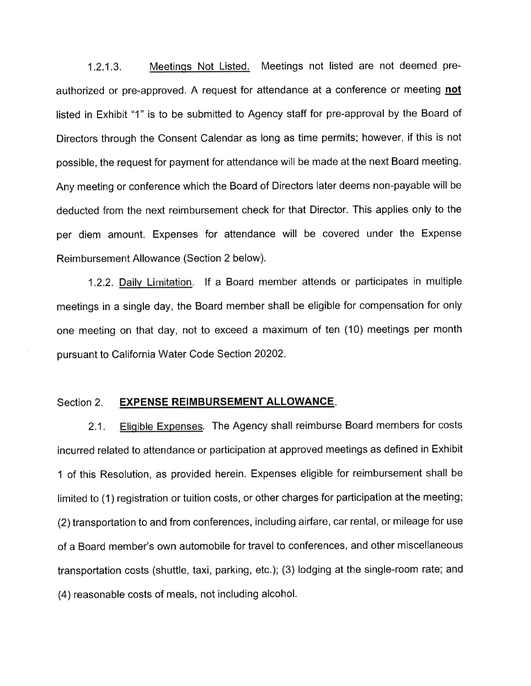1.2.1.3. Meetings Not Listed. Meetings not listed are not deemed preauthorized or pre-approved. A request for attendance at a conference or meeting not listed in Exhibit "1" is to be submitted to Agency staff for pre-approval by the Board of Directors through the Consent Calendar as long as time permits; however, if this is not possible, the request for payment for attendance will be made at the next Board meeting. Any meeting or conference which the Board of Directors later deems non-payable will be deducted from the next reimbursement check for that Director. This applies only to the per diem amount. Expenses for attendance will be covered under the Expense Reimbursement Allowance (Section 2 below).

1.2.2. Daily Limitation. If a Board member attends or participates in multiple meetings in a single day, the Board member shall be eligible for compensation for only one meeting on that day, not to exceed a maximum of ten (10) meetings per month pursuant to California Water Code Section 20202.

## Section 2. EXPENSE REIMBURSEMENT ALLOWANCE.

2.1. Eligible Expenses. The Agency shall reimburse Board members for costs incurred related to attendance or participation at approved meetings as defined in Exhibit 1 of this Resolution, as provided herein. Expenses eligible for reimbursement shall be limited to (1) registration or tuition costs, or other charges for participation at the meeting; (2) transportation to and from conferences, including airfare, car rental, or mileage for use of a Board member's own automobile for travel to conferences, and other miscellaneous transportation costs (shuttle, taxi, parking, etc.); (3) lodging at the single-room rate; and (4) reasonable costs of meals, not including alcohol.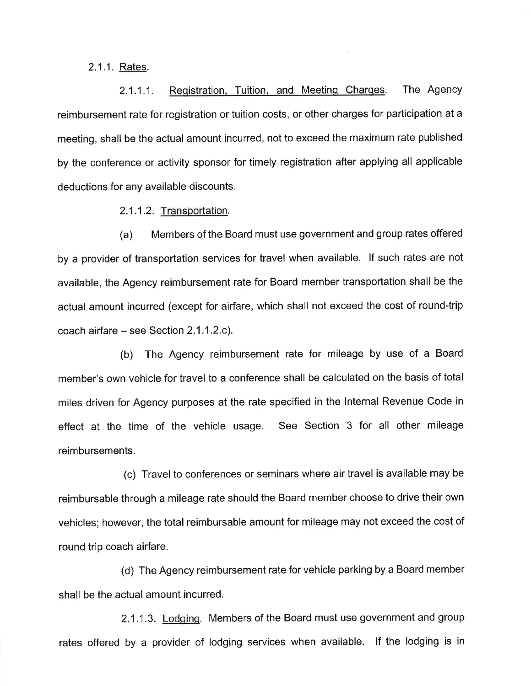2.1.1. Rates.

2.1.1.1. Registration, Tuition, and Meeting Charges. The Agency reimbursement rate for registration or tuition costs, or other charges for participation at a meeting, shall be the actual amount incurred, not to exceed the maximum rate published by the conference or activity sponsor for timely registration after applying all applicable deductions for any available discounts.

2.1 .1 .2. Transportation.

(a) Members of the Board must use government and group rates offered by a provider of transportation services for travel when available. lf such rates are not available, the Agency reimbursement rate for Board member transportation shall be the actual amount incurred (except for airfare, which shall not exceed the cost of round-trip coach airfare  $-$  see Section 2.1.1.2.c).

(b) The Agency reimbursement rate for mileage by use of a Board member's own vehicle for travel to a conference shall be calculated on the basis of total miles driven for Agency purposes at the rate specified in the lnternal Revenue Code in effect at the time of the vehicle usage. See Section 3 for all other mileage reimbursements.

(c) Travel to conferences or seminars where air travel is available may be reimbursable through a mileage rate should the Board member choose to drive their own vehicles; however, the total reimbursable amount for mileage may not exceed the cost of round trip coach airfare.

(d) The Agency reimbursement rate for vehicle parking by a Board member shall be the actual amount incurred.

2.1.1.3. Lodging. Members of the Board must use government and group rates offered by a provider of lodging services when available. lf the lodging is in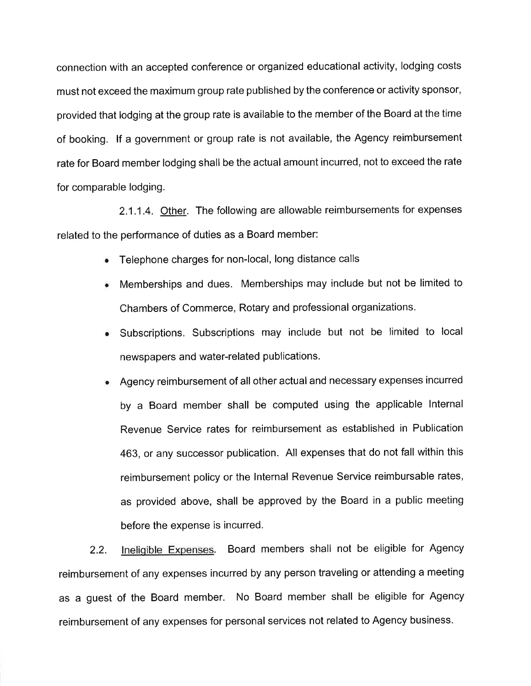connection with an accepted conference or organized educational activity, lodging costs must not exceed the maximum group rate published by the conference or activity sponsor, provided that lodging at the group rate is available to the member of the Board at the time of booking. lf a government or group rate is not available, the Agency reimbursement rate for Board member lodging shall be the actual amount incurred, not to exceed the rate for comparable lodging.

2.1.1.4. Other. The following are allowable reimbursements for expenses related to the performance of duties as a Board member:

- Telephone charges for non-local, long distance calls
- . Memberships and dues. Memberships may include but not be limited to Chambers of Commerce, Rotary and professional organizations.
- . Subscriptions. Subscriptions may include but not be limited to local newspapers and water-related publications.
- Agency reimbursement of all other actual and necessary expenses incurred by a Board member shall be computed using the applicable lnternal Revenue Service rates for reimbursement as established in Publication 463, or any successor publication. All expenses that do not fall within this reimbursement policy or the lnternal Revenue Service reimbursable rates, as provided above, shall be approved by the Board in a public meeting before the expense is incurred.

2.2. lneliqible Expenses. Board members shall not be eligible for Agency reimbursement of any expenses incurred by any person traveling or attending a meeting as a guest of the Board member. No Board member shall be eligible for Agency reimbursement of any expenses for personal services not related to Agency business.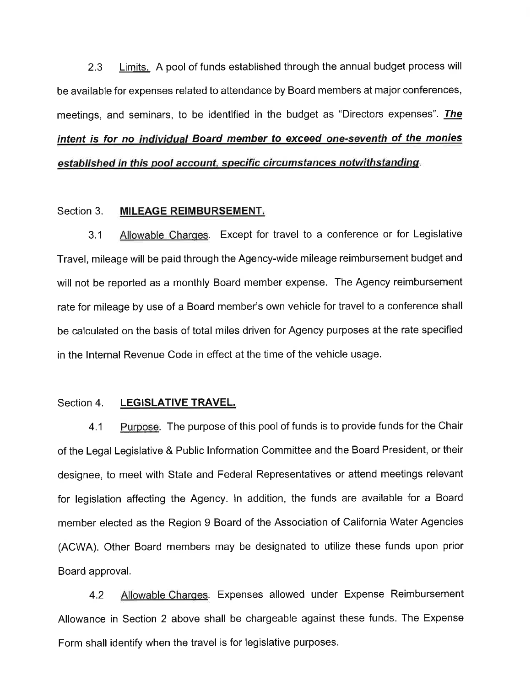2.3 Limits. A pool of funds established through the annual budget process will be available for expenses related to attendance by Board members at major conferences, meetings, and seminars, to be identified in the budget as "Directors expenses". The intent is for no individual Board member to exceed one-seventh of the monies established in this pool account, specific circumstances notwithstanding.

## Section 3. MILEAGE REIMBURSEMENT.

3.1 Allowable Charqes. Except for travel to a conference or for Legislative Travel, mileage will be paid through the Agency-wide mileage reimbursement budget and will not be reported as a monthly Board member expense. The Agency reimbursement rate for mileage by use of a Board member's own vehicle for travel to a conference shall be calculated on the basis of total miles driven for Agency purposes at the rate specified in the lnternal Revenue Code in effect at the time of the vehicle usage.

## Section 4. LEGISLATIVE TRAVEL.

4.1 Purpose. The purpose of this pool of funds is to provide funds for the Chair of the Legal Legislative & Public lnformation Committee and the Board President, or their designee, to meet with State and Federal Representatives or attend meetings relevant for legislation affecting the Agency. ln addition, the funds are available for a Board member elected as the Region 9 Board of the Association of California Water Agencies (ACWA). Other Board members may be designated to utilize these funds upon prior Board approval.

4.2 Allowable Charqes. Expenses allowed under Expense Reimbursement Allowance in Section 2 above shall be chargeable against these funds. The Expense Form shall identify when the travel is for legislative purposes.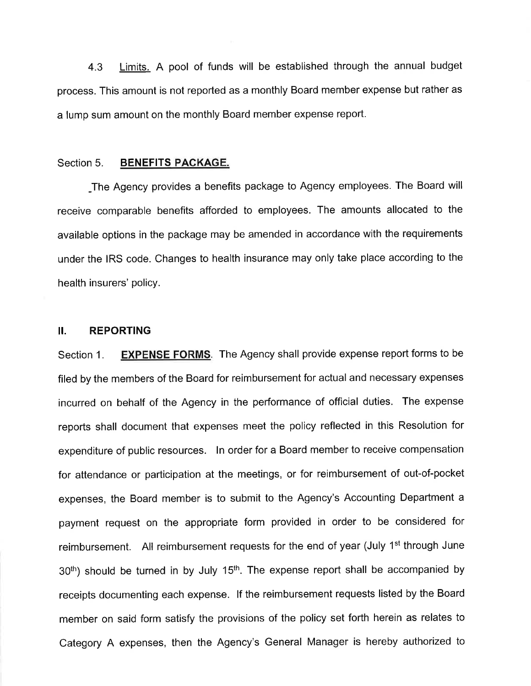4.3 Limits. A pool of funds will be established through the annual budget process. This amount is not reported as a monthly Board member expense but rather as a lump sum amount on the monthly Board member expense report.

#### Section 5. BENEFITS PACKAGE.

\_The Agency provides a benefits package to Agency employees. The Board will receive comparable benefits afforded to employees. The amounts allocated to the available options in the package may be amended in accordance with the requirements under the IRS code. Changes to health insurance may only take place according to the health insurers' policy.

## II. REPORTING

Section 1. EXPENSE FORMS. The Agency shall provide expense report forms to be filed by the members of the Board for reimbursement for actual and necessary expenses incurred on behalf of the Agency in the performance of official duties. The expense reports shall document that expenses meet the policy reflected in this Resolution for expenditure of public resources. ln order for a Board member to receive compensation for attendance or participation at the meetings, or for reimbursement of out-of-pocket expenses, the Board member is to submit to the Agency's Accounting Department a payment request on the appropriate form provided in order to be considered for reimbursement. All reimbursement requests for the end of year (July 1<sup>st</sup> through June  $30<sup>th</sup>$ ) should be turned in by July 15<sup>th</sup>. The expense report shall be accompanied by receipts documenting each expense. lf the reimbursement requests listed by the Board member on said form satisfy the provisions of the policy set forth herein as relates to Category A expenses, then the Agency's General Manager is hereby authorized to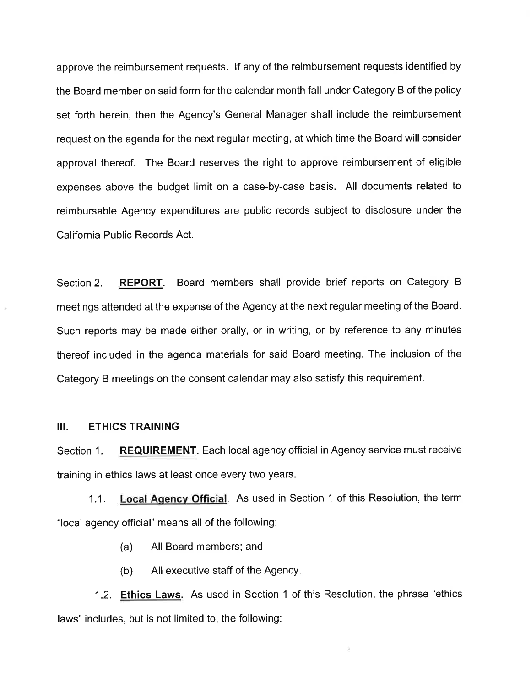approve the reimbursement requests. lf any of the reimbursement requests identified by the Board member on said form for the calendar month fall under Category B of the policy set forth herein, then the Agency's General Manager shall include the reimbursement request on the agenda for the next regular meeting, at which time the Board will consider approval thereof. The Board reserves the right to approve reimbursement of eligible expenses above the budget limit on a case-by-case basis. All documents related to reimbursable Agency expenditures are public records subject to disclosure under the California Public Records Act.

Section 2. **REPORT.** Board members shall provide brief reports on Category B meetings attended at the expense of the Agency at the next regular meeting of the Board. Such reports may be made either orally, or in writing, or by reference to any minutes thereof included in the agenda materials for said Board meeting. The inclusion of the Category B meetings on the consent calendar may also satisfy this requirement.

#### III. ETHICS TRAINING

Section 1. REQUIREMENT. Each local agency official in Agency service must receive training in ethics laws at least once every two years.

1.1. Local Agency Official. As used in Section 1 of this Resolution, the term "local agency official" means all of the following:

(a) All Board members; and

(b) All executive staff of the Agency.

1.2. Ethics Laws. As used in Section 1 of this Resolution, the phrase "ethics laws" includes, but is not limited to, the following: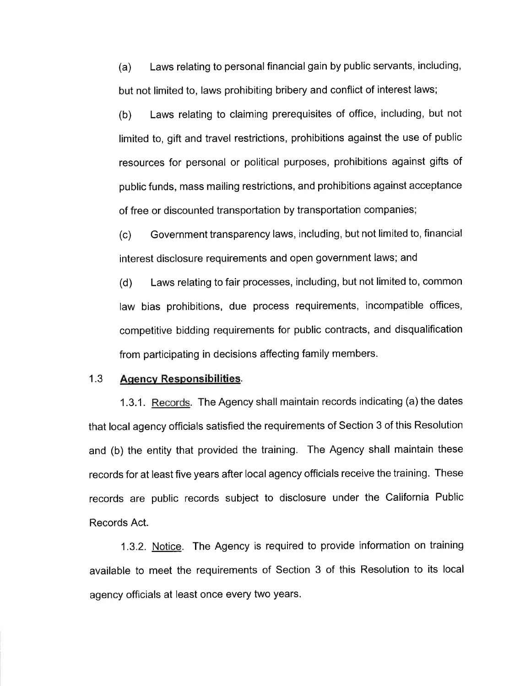(a) Laws relating to personal financial gain by public servants, including, but not limited to, laws prohibiting bribery and conflict of interest laws;

(b) Laws relating to claiming prerequisites of office, including, but not limited to, gift and travel restrictions, prohibitions against the use of public resources for personal or political purposes, prohibitions against gifts of public funds, mass mailing restrictions, and prohibitions against acceptance of free or discounted transportation by transportation companies;

(c) Government transparency laws, including, but not limited to, financial interest disclosure requirements and open government laws; and

(d) Laws relating to fair processes, including, but not limited to, common law bias prohibitions, due process requirements, incompatible offices, competitive bidding requirements for public contracts, and disqualification from participating in decisions affecting family members.

#### 1.3 Agency Responsibilities.

1.3.1. Records. The Agency shall maintain records indicating (a) the dates that local agency officials satisfied the requirements of Section 3 of this Resolution and (b) the entity that provided the training. The Agency shall maintain these records for at least five years after local agency officials receive the training. These records are public records subject to disclosure under the California Public Records Act.

1.3.2. Notice. The Agency is required to provide information on training available to meet the requirements of Section 3 of this Resolution to its local agency officials at least once every two years.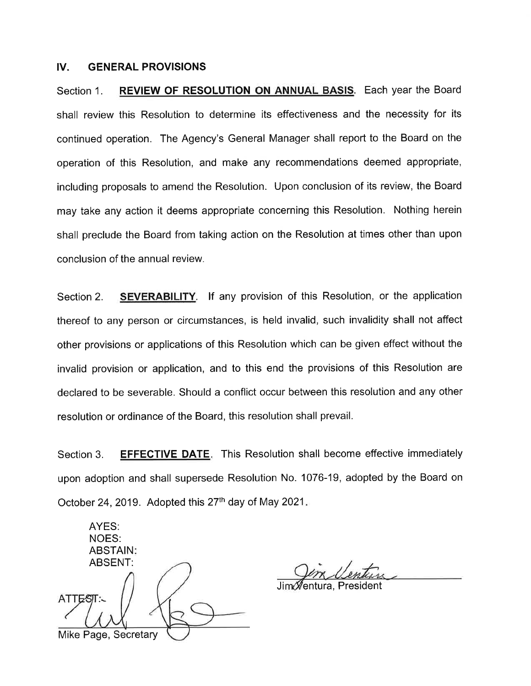#### IV. GENERAL PROVISIONS

Section 1. REVIEW OF RESOLUTION ON ANNUAL BASIS. Each year the Board shall review this Resolution to determine its effectiveness and the necessity for its continued operation. The Agency's General Manager shall report to the Board on the operation of this Resolution, and make any recommendations deemed appropriate, including proposals to amend the Resolution. Upon conclusion of its review, the Board may take any action it deems appropriate concerning this Resolution. Nothing herein shall preclude the Board from taking action on the Resolution at times other than upon conclusion of the annual review.

Section 2. **SEVERABILITY**. If any provision of this Resolution, or the application thereof to any person or circumstances, is held invalid, such invalidity shall not affect other provisions or applications of this Resolution which can be given effect without the invalid provision or application, and to this end the provisions of this Resolution are declared to be severable. Should a conflict occur between this resolution and any other resolution or ordinance of the Board, this resolution shall prevail.

Section 3. **EFFECTIVE DATE.** This Resolution shall become effective immediately upon adoption and shall supersede Resolution No. 1076-19, adopted by the Board on October 24, 2019. Adopted this  $27<sup>th</sup>$  day of May 2021.

AYES: NOES: ABSTAIN ABSENT: Mike Page, Secretary

entura, President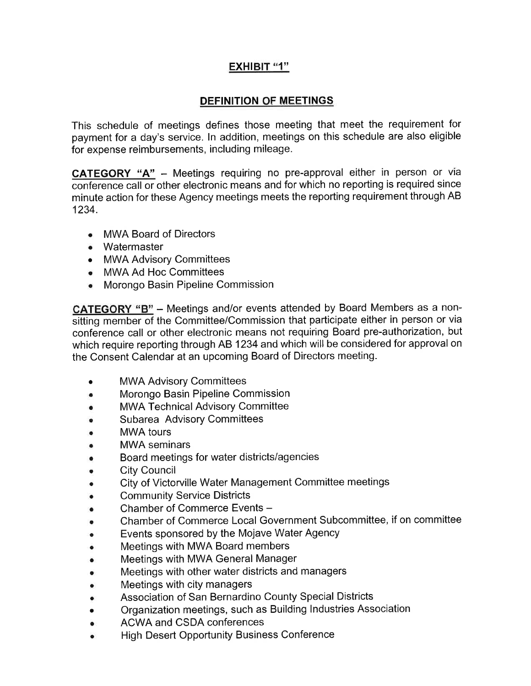# <u>EXHIBIT "1"</u>

# DEFINITION OF MEETINGS

This schedule of meetings defines those meeting that meet the requirement for payment for a day's service. ln addition, meetings on this schedule are also eligible for expense reimbursements, including mileage.

**CATEGORY "A"** - Meetings requiring no pre-approval either in person or via conference call or other electronic means and for which no reporting is required since minute action for these Agency meetings meets the reporting requirement through AB 1234.

- MWA Board of Directors
- Watermaster
- MWA Advisory Committees
- MWA Ad Hoc Committees
- . Morongo Basin Pipeline Commission

CATEGORY "B" - Meetings and/or events attended by Board Members as a nonsitting member of the Committee/Commission that participate either in person or via conference call or other electronic means not requiring Board pre-authorization, but which require reporting through AB 1234 and which will be considered for approval on the Consent Calendar at an upcoming Board of Directors meeting.

- MWA Advisory Committees o
- Morongo Basin Pipeline Commission o
- MWA Technical Advisory Committee a
- Subarea Advisory Committees a
- MWA tours a
- MWA seminars o
- Board meetings for water districts/agencies o
- City Council o
- City of Victorville Water Management Committee meetings a
- Community Service Districts a
- Chamber of Commerce Events a
- Chamber of Commerce Local Government Subcommittee, if on committee a
- Events sponsored by the Mojave Water Agency a
- Meetings with MWA Board members o
- Meetings with MWA General Manager o
- Meetings with other water districts and managers a
- Meetings with city managers o
- Association of San Bernardino County Special Districts a
- Organization meetings, such as Building lndustries Association a
- ACWA and CSDA conferences a
- High Desert Opportunity Business Conference a